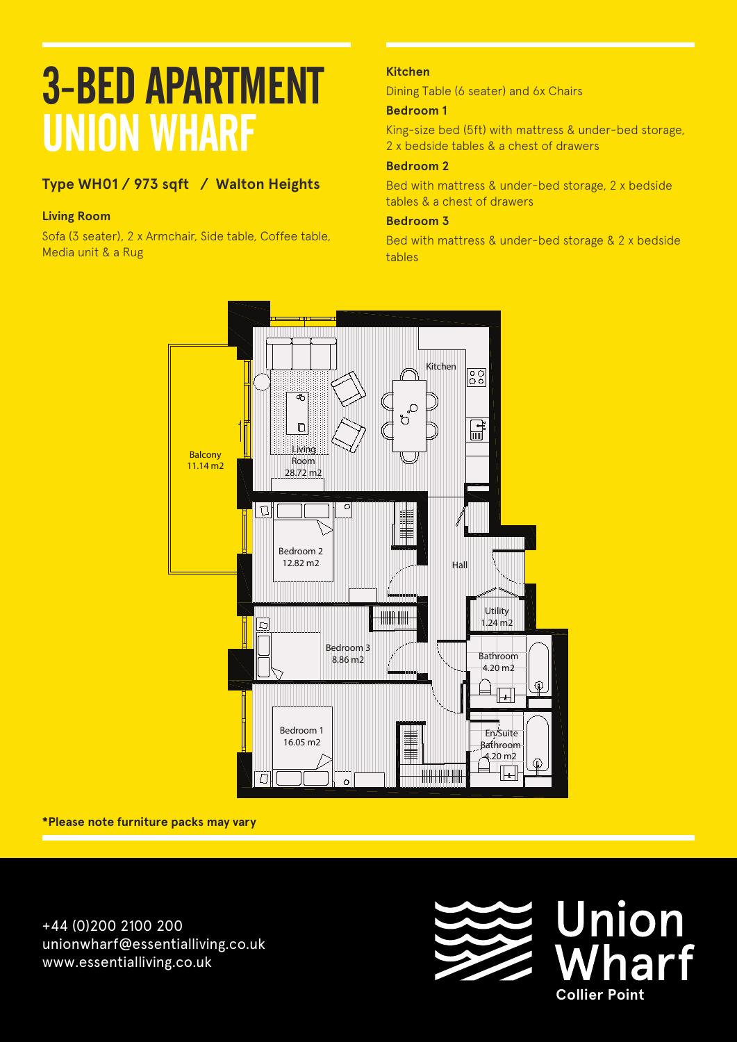# **Type WH01 / 973 sqft / Walton Heights**

## **Living Room**

Sofa (3 seater), 2 x Armchair, Side table, Coffee table, **Floors: Level B1** Media unit & a Rug

## **Kitchen**

Dining Table (6 seater) and 6x Chairs

## **Bedroom 1**

King-size bed (5ft) with mattress & under-bed storage, 2 x bedside tables & a chest of drawers

#### **Bedroom 2**

Bed with mattress & under-bed storage, 2 x bedside tables & a chest of drawers

### **Bedroom 3**

Bed with mattress & under-bed storage & 2 x bedside tables



#### **\*Please note furniture packs may vary**

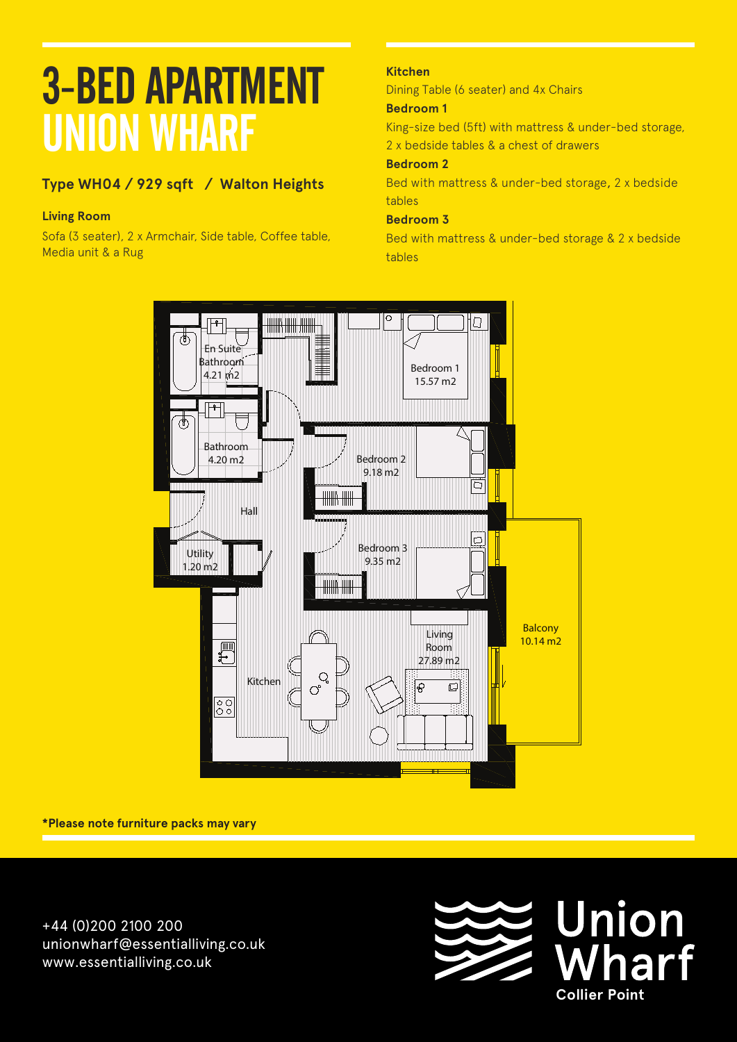# **Type WH04 / 929 sqft / Walton Heights**

## **Living Room**

Sofa (3 seater), 2 x Armchair, Side table, Coffee table,<br>Madia unit 8 a Bug Media unit & a Rug

## **Kitchen**

Dining Table (6 seater) and 4x Chairs

## **Bedroom 1**

King-size bed (5ft) with mattress & under-bed storage, 2 x bedside tables & a chest of drawers

### **Bedroom 2**

Bed with mattress & under-bed storage, 2 x bedside tables

## **Bedroom 3**

Bed with mattress & under-bed storage & 2 x bedside tables



**\*Please note furniture packs may vary**

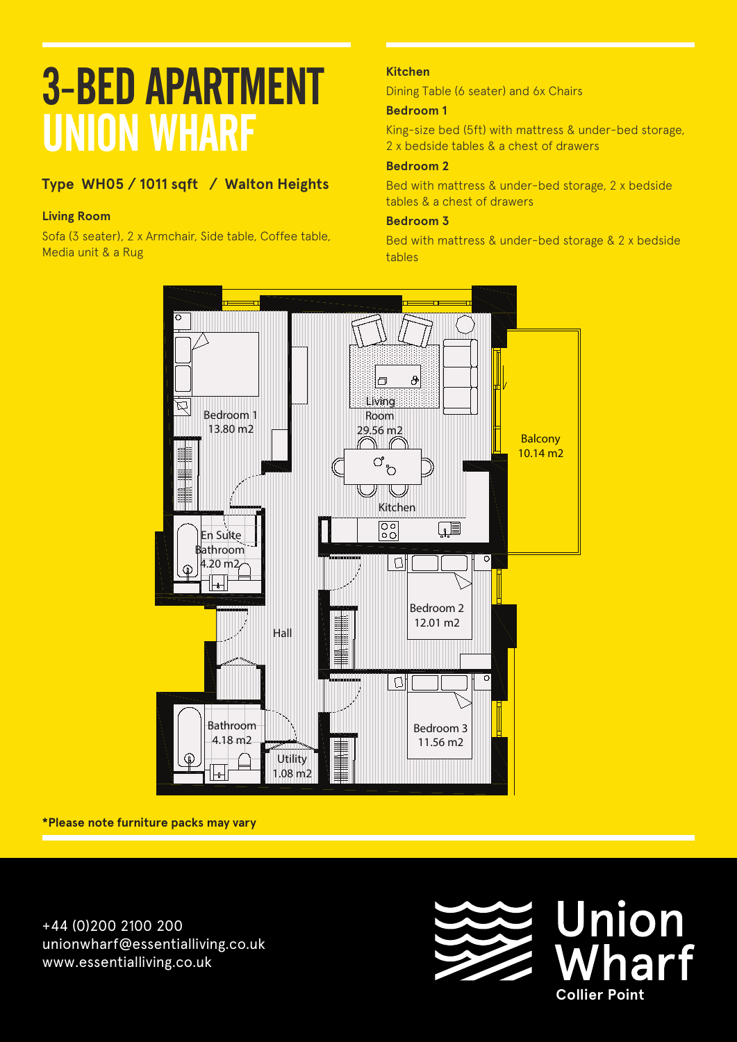# **Type WH05 / 1011 sqft / Walton Heights Apartment B 103**

## **Living Room**

Sofa (3 seater), 2 x Armchair, Side table, Coffee table, Media unit & a Rug **Floors: Level B1**

### **Kitchen**

Dining Table (6 seater) and 6x Chairs

### **Bedroom 1**

King-size bed (5ft) with mattress & under-bed storage, 2 x bedside tables & a chest of drawers

#### **Bedroom 2**

Bed with mattress & under-bed storage, 2 x bedside tables & a chest of drawers

### **Bedroom 3**

Bed with mattress & under-bed storage & 2 x bedside tables



**\*Please note furniture packs may vary**